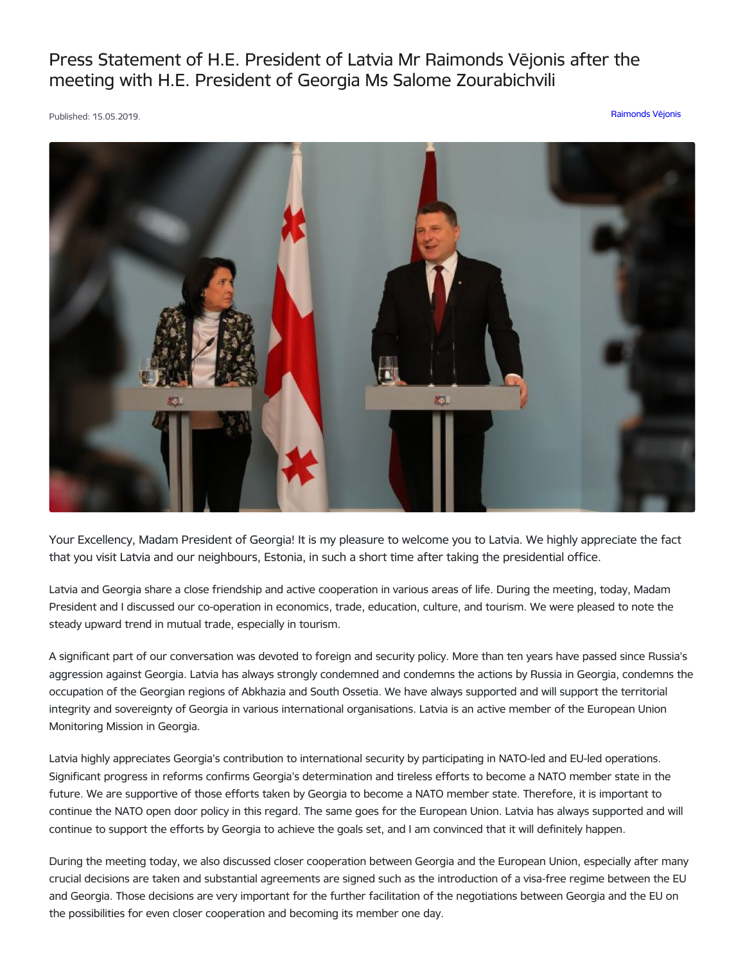Press Statement of H.E. President of Latvia Mr Raimonds Vējonis after the meeting with H.E. President of Georgia Ms Salome Zourabichvili

Published: 15.05.2019. [Raimonds](https://www.president.lv/en/articles?category%255B275%255D=275) Vējonis



Your Excellency, Madam President of Georgia! It is my pleasure to welcome you to Latvia. We highly appreciate the fact that you visit Latvia and our neighbours, Estonia, in such a short time after taking the presidential office.

Latvia and Georgia share a close friendship and active cooperation in various areas of life. During the meeting, today, Madam President and I discussed our co-operation in economics, trade, education, culture, and tourism. We were pleased to note the steady upward trend in mutual trade, especially in tourism.

A significant part of our conversation was devoted to foreign and security policy. More than ten years have passed since Russia's aggression against Georgia. Latvia has always strongly condemned and condemns the actions by Russia in Georgia, condemns the occupation of the Georgian regions of Abkhazia and South Ossetia. We have always supported and will support the territorial integrity and sovereignty of Georgia in various international organisations. Latvia is an active member of the European Union Monitoring Mission in Georgia.

Latvia highly appreciates Georgia's contribution to international security by participating in NATO-led and EU-led operations. Significant progress in reforms confirms Georgia's determination and tireless efforts to become a NATO member state in the future. We are supportive of those efforts taken by Georgia to become a NATO member state. Therefore, it is important to continue the NATO open door policy in this regard. The same goes for the European Union. Latvia has always supported and will continue to support the efforts by Georgia to achieve the goals set, and I am convinced that it will definitely happen.

During the meeting today, we also discussed closer cooperation between Georgia and the European Union, especially after many crucial decisions are taken and substantial agreements are signed such as the introduction of a visa-free regime between the EU and Georgia. Those decisions are very important for the further facilitation of the negotiations between Georgia and the EU on the possibilities for even closer cooperation and becoming its member one day.